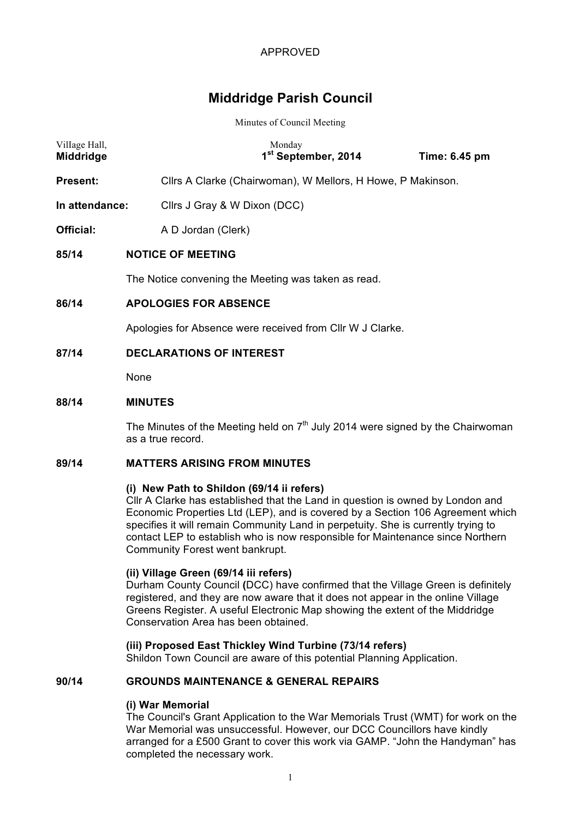# **Middridge Parish Council**

#### Minutes of Council Meeting

| Village Hall,<br>Middridge | Monday<br>1 <sup>st</sup> September, 2014<br>Time: 6.45 pm  |  |  |  |
|----------------------------|-------------------------------------------------------------|--|--|--|
| <b>Present:</b>            | Cllrs A Clarke (Chairwoman), W Mellors, H Howe, P Makinson. |  |  |  |
| In attendance:             | Cllrs J Gray & W Dixon (DCC)                                |  |  |  |
| Official:                  | A D Jordan (Clerk)                                          |  |  |  |
| 85/14                      | <b>NOTICE OF MEETING</b>                                    |  |  |  |
|                            | The Notice convening the Meeting was taken as read.         |  |  |  |
| 86/14                      | <b>APOLOGIES FOR ABSENCE</b>                                |  |  |  |
|                            | Apologies for Absence were received from CIIr W J Clarke.   |  |  |  |
| 87/14                      | <b>DECLARATIONS OF INTEREST</b>                             |  |  |  |
|                            | None                                                        |  |  |  |

#### **88/14 MINUTES**

The Minutes of the Meeting held on  $7<sup>th</sup>$  July 2014 were signed by the Chairwoman as a true record.

# **89/14 MATTERS ARISING FROM MINUTES**

#### **(i) New Path to Shildon (69/14 ii refers)**

Cllr A Clarke has established that the Land in question is owned by London and Economic Properties Ltd (LEP), and is covered by a Section 106 Agreement which specifies it will remain Community Land in perpetuity. She is currently trying to contact LEP to establish who is now responsible for Maintenance since Northern Community Forest went bankrupt.

#### **(ii) Village Green (69/14 iii refers)**

Durham County Council **(**DCC) have confirmed that the Village Green is definitely registered, and they are now aware that it does not appear in the online Village Greens Register. A useful Electronic Map showing the extent of the Middridge Conservation Area has been obtained.

#### **(iii) Proposed East Thickley Wind Turbine (73/14 refers)**

Shildon Town Council are aware of this potential Planning Application.

### **90/14 GROUNDS MAINTENANCE & GENERAL REPAIRS**

#### **(i) War Memorial**

The Council's Grant Application to the War Memorials Trust (WMT) for work on the War Memorial was unsuccessful. However, our DCC Councillors have kindly arranged for a £500 Grant to cover this work via GAMP. "John the Handyman" has completed the necessary work.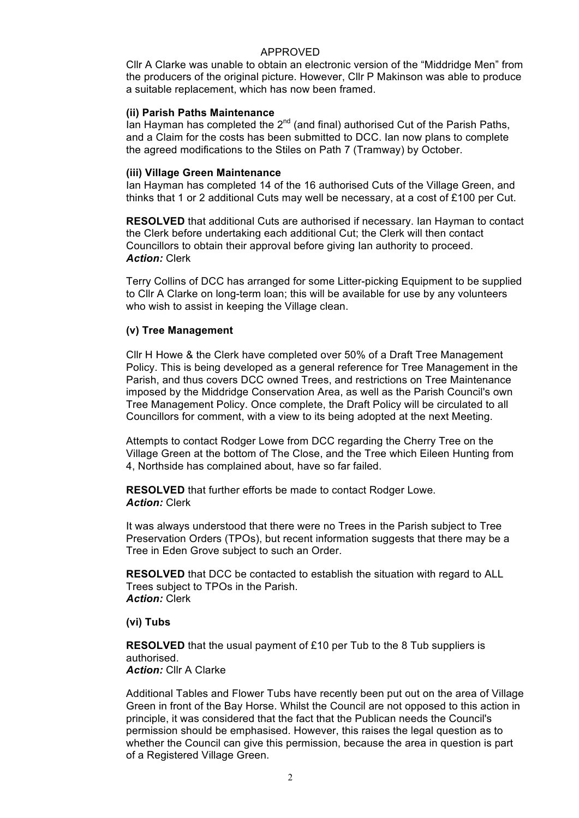Cllr A Clarke was unable to obtain an electronic version of the "Middridge Men" from the producers of the original picture. However, Cllr P Makinson was able to produce a suitable replacement, which has now been framed.

#### **(ii) Parish Paths Maintenance**

Ian Hayman has completed the  $2^{nd}$  (and final) authorised Cut of the Parish Paths, and a Claim for the costs has been submitted to DCC. Ian now plans to complete the agreed modifications to the Stiles on Path 7 (Tramway) by October.

#### **(iii) Village Green Maintenance**

Ian Hayman has completed 14 of the 16 authorised Cuts of the Village Green, and thinks that 1 or 2 additional Cuts may well be necessary, at a cost of £100 per Cut.

**RESOLVED** that additional Cuts are authorised if necessary. Ian Hayman to contact the Clerk before undertaking each additional Cut; the Clerk will then contact Councillors to obtain their approval before giving Ian authority to proceed. *Action:* Clerk

Terry Collins of DCC has arranged for some Litter-picking Equipment to be supplied to Cllr A Clarke on long-term loan; this will be available for use by any volunteers who wish to assist in keeping the Village clean.

# **(v) Tree Management**

Cllr H Howe & the Clerk have completed over 50% of a Draft Tree Management Policy. This is being developed as a general reference for Tree Management in the Parish, and thus covers DCC owned Trees, and restrictions on Tree Maintenance imposed by the Middridge Conservation Area, as well as the Parish Council's own Tree Management Policy. Once complete, the Draft Policy will be circulated to all Councillors for comment, with a view to its being adopted at the next Meeting.

Attempts to contact Rodger Lowe from DCC regarding the Cherry Tree on the Village Green at the bottom of The Close, and the Tree which Eileen Hunting from 4, Northside has complained about, have so far failed.

**RESOLVED** that further efforts be made to contact Rodger Lowe. *Action:* Clerk

It was always understood that there were no Trees in the Parish subject to Tree Preservation Orders (TPOs), but recent information suggests that there may be a Tree in Eden Grove subject to such an Order.

**RESOLVED** that DCC be contacted to establish the situation with regard to ALL Trees subject to TPOs in the Parish. *Action:* Clerk

# **(vi) Tubs**

**RESOLVED** that the usual payment of £10 per Tub to the 8 Tub suppliers is authorised.

# **Action:** Cllr A Clarke

Additional Tables and Flower Tubs have recently been put out on the area of Village Green in front of the Bay Horse. Whilst the Council are not opposed to this action in principle, it was considered that the fact that the Publican needs the Council's permission should be emphasised. However, this raises the legal question as to whether the Council can give this permission, because the area in question is part of a Registered Village Green.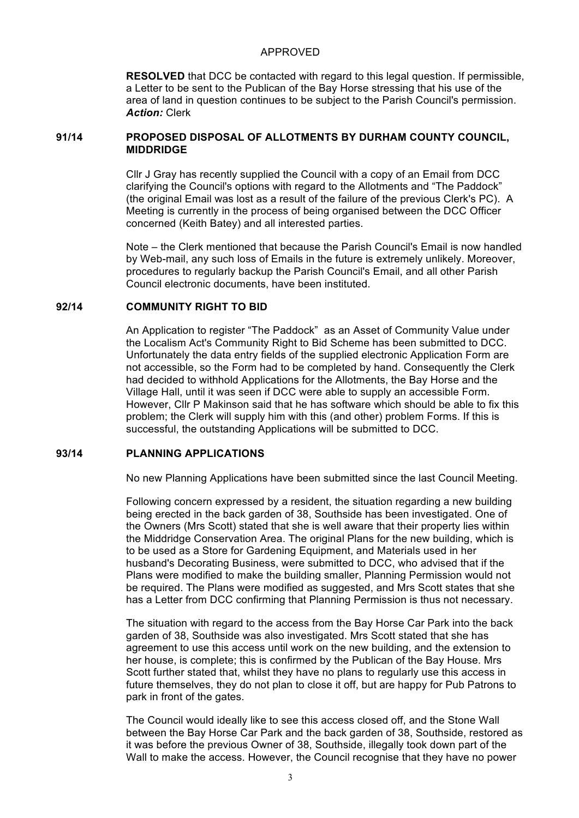**RESOLVED** that DCC be contacted with regard to this legal question. If permissible, a Letter to be sent to the Publican of the Bay Horse stressing that his use of the area of land in question continues to be subject to the Parish Council's permission. *Action:* Clerk

# **91/14 PROPOSED DISPOSAL OF ALLOTMENTS BY DURHAM COUNTY COUNCIL, MIDDRIDGE**

Cllr J Gray has recently supplied the Council with a copy of an Email from DCC clarifying the Council's options with regard to the Allotments and "The Paddock" (the original Email was lost as a result of the failure of the previous Clerk's PC). A Meeting is currently in the process of being organised between the DCC Officer concerned (Keith Batey) and all interested parties.

Note – the Clerk mentioned that because the Parish Council's Email is now handled by Web-mail, any such loss of Emails in the future is extremely unlikely. Moreover, procedures to regularly backup the Parish Council's Email, and all other Parish Council electronic documents, have been instituted.

# **92/14 COMMUNITY RIGHT TO BID**

An Application to register "The Paddock" as an Asset of Community Value under the Localism Act's Community Right to Bid Scheme has been submitted to DCC. Unfortunately the data entry fields of the supplied electronic Application Form are not accessible, so the Form had to be completed by hand. Consequently the Clerk had decided to withhold Applications for the Allotments, the Bay Horse and the Village Hall, until it was seen if DCC were able to supply an accessible Form. However, Cllr P Makinson said that he has software which should be able to fix this problem; the Clerk will supply him with this (and other) problem Forms. If this is successful, the outstanding Applications will be submitted to DCC.

# **93/14 PLANNING APPLICATIONS**

No new Planning Applications have been submitted since the last Council Meeting.

Following concern expressed by a resident, the situation regarding a new building being erected in the back garden of 38, Southside has been investigated. One of the Owners (Mrs Scott) stated that she is well aware that their property lies within the Middridge Conservation Area. The original Plans for the new building, which is to be used as a Store for Gardening Equipment, and Materials used in her husband's Decorating Business, were submitted to DCC, who advised that if the Plans were modified to make the building smaller, Planning Permission would not be required. The Plans were modified as suggested, and Mrs Scott states that she has a Letter from DCC confirming that Planning Permission is thus not necessary.

The situation with regard to the access from the Bay Horse Car Park into the back garden of 38, Southside was also investigated. Mrs Scott stated that she has agreement to use this access until work on the new building, and the extension to her house, is complete; this is confirmed by the Publican of the Bay House. Mrs Scott further stated that, whilst they have no plans to regularly use this access in future themselves, they do not plan to close it off, but are happy for Pub Patrons to park in front of the gates.

The Council would ideally like to see this access closed off, and the Stone Wall between the Bay Horse Car Park and the back garden of 38, Southside, restored as it was before the previous Owner of 38, Southside, illegally took down part of the Wall to make the access. However, the Council recognise that they have no power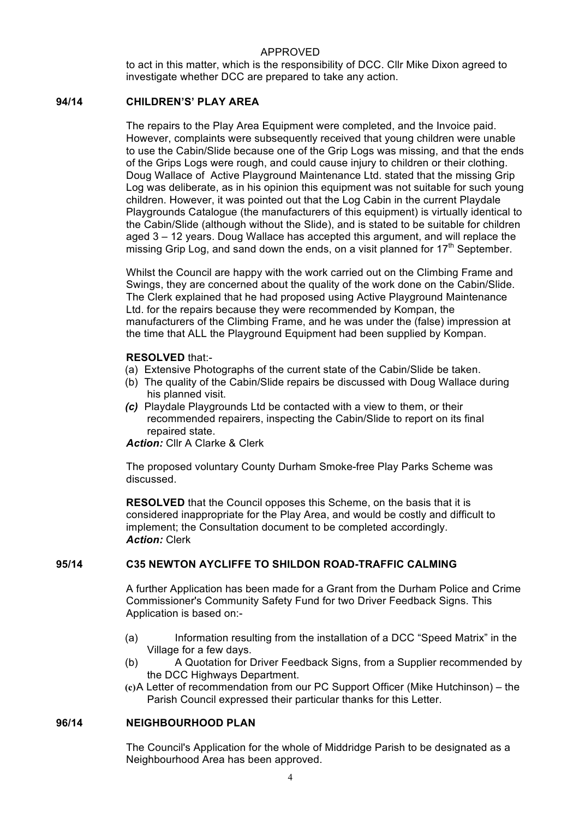to act in this matter, which is the responsibility of DCC. Cllr Mike Dixon agreed to investigate whether DCC are prepared to take any action.

# **94/14 CHILDREN'S' PLAY AREA**

The repairs to the Play Area Equipment were completed, and the Invoice paid. However, complaints were subsequently received that young children were unable to use the Cabin/Slide because one of the Grip Logs was missing, and that the ends of the Grips Logs were rough, and could cause injury to children or their clothing. Doug Wallace of Active Playground Maintenance Ltd. stated that the missing Grip Log was deliberate, as in his opinion this equipment was not suitable for such young children. However, it was pointed out that the Log Cabin in the current Playdale Playgrounds Catalogue (the manufacturers of this equipment) is virtually identical to the Cabin/Slide (although without the Slide), and is stated to be suitable for children aged 3 – 12 years. Doug Wallace has accepted this argument, and will replace the missing Grip Log, and sand down the ends, on a visit planned for  $17<sup>th</sup>$  September.

Whilst the Council are happy with the work carried out on the Climbing Frame and Swings, they are concerned about the quality of the work done on the Cabin/Slide. The Clerk explained that he had proposed using Active Playground Maintenance Ltd. for the repairs because they were recommended by Kompan, the manufacturers of the Climbing Frame, and he was under the (false) impression at the time that ALL the Playground Equipment had been supplied by Kompan.

#### **RESOLVED** that:-

- (a) Extensive Photographs of the current state of the Cabin/Slide be taken.
- (b) The quality of the Cabin/Slide repairs be discussed with Doug Wallace during his planned visit.
- *(c)* Playdale Playgrounds Ltd be contacted with a view to them, or their recommended repairers, inspecting the Cabin/Slide to report on its final repaired state.

*Action:* Cllr A Clarke & Clerk

The proposed voluntary County Durham Smoke-free Play Parks Scheme was discussed.

**RESOLVED** that the Council opposes this Scheme, on the basis that it is considered inappropriate for the Play Area, and would be costly and difficult to implement; the Consultation document to be completed accordingly. *Action:* Clerk

# **95/14 C35 NEWTON AYCLIFFE TO SHILDON ROAD-TRAFFIC CALMING**

A further Application has been made for a Grant from the Durham Police and Crime Commissioner's Community Safety Fund for two Driver Feedback Signs. This Application is based on:-

- (a) Information resulting from the installation of a DCC "Speed Matrix" in the Village for a few days.
- (b) A Quotation for Driver Feedback Signs, from a Supplier recommended by the DCC Highways Department.
- **(c)**A Letter of recommendation from our PC Support Officer (Mike Hutchinson) the Parish Council expressed their particular thanks for this Letter.

#### **96/14 NEIGHBOURHOOD PLAN**

The Council's Application for the whole of Middridge Parish to be designated as a Neighbourhood Area has been approved.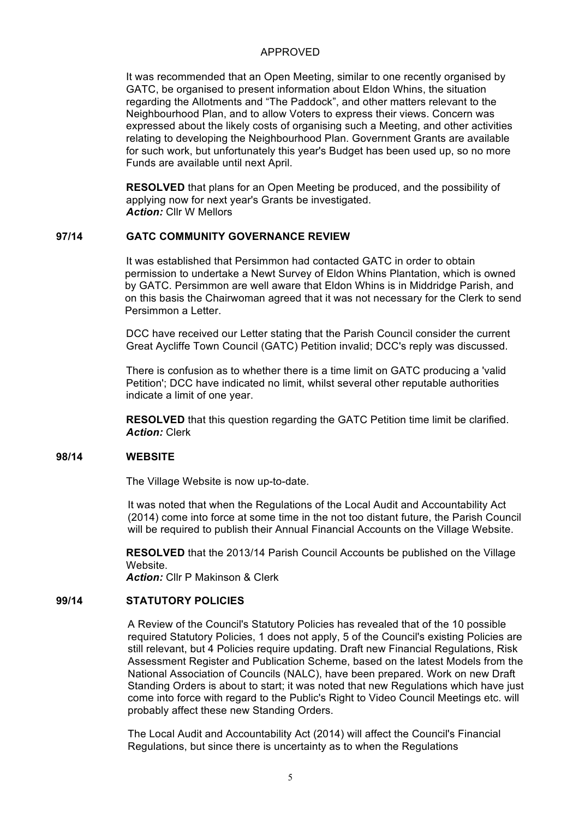It was recommended that an Open Meeting, similar to one recently organised by GATC, be organised to present information about Eldon Whins, the situation regarding the Allotments and "The Paddock", and other matters relevant to the Neighbourhood Plan, and to allow Voters to express their views. Concern was expressed about the likely costs of organising such a Meeting, and other activities relating to developing the Neighbourhood Plan. Government Grants are available for such work, but unfortunately this year's Budget has been used up, so no more Funds are available until next April.

**RESOLVED** that plans for an Open Meeting be produced, and the possibility of applying now for next year's Grants be investigated. *Action:* Cllr W Mellors

# **97/14 GATC COMMUNITY GOVERNANCE REVIEW**

It was established that Persimmon had contacted GATC in order to obtain permission to undertake a Newt Survey of Eldon Whins Plantation, which is owned by GATC. Persimmon are well aware that Eldon Whins is in Middridge Parish, and on this basis the Chairwoman agreed that it was not necessary for the Clerk to send Persimmon a Letter.

DCC have received our Letter stating that the Parish Council consider the current Great Aycliffe Town Council (GATC) Petition invalid; DCC's reply was discussed.

There is confusion as to whether there is a time limit on GATC producing a 'valid Petition'; DCC have indicated no limit, whilst several other reputable authorities indicate a limit of one year.

**RESOLVED** that this question regarding the GATC Petition time limit be clarified. *Action:* Clerk

#### **98/14 WEBSITE**

The Village Website is now up-to-date.

It was noted that when the Regulations of the Local Audit and Accountability Act (2014) come into force at some time in the not too distant future, the Parish Council will be required to publish their Annual Financial Accounts on the Village Website.

 **RESOLVED** that the 2013/14 Parish Council Accounts be published on the Village Website.

*Action:* Cllr P Makinson & Clerk

# **99/14 STATUTORY POLICIES**

A Review of the Council's Statutory Policies has revealed that of the 10 possible required Statutory Policies, 1 does not apply, 5 of the Council's existing Policies are still relevant, but 4 Policies require updating. Draft new Financial Regulations, Risk Assessment Register and Publication Scheme, based on the latest Models from the National Association of Councils (NALC), have been prepared. Work on new Draft Standing Orders is about to start; it was noted that new Regulations which have just come into force with regard to the Public's Right to Video Council Meetings etc. will probably affect these new Standing Orders.

The Local Audit and Accountability Act (2014) will affect the Council's Financial Regulations, but since there is uncertainty as to when the Regulations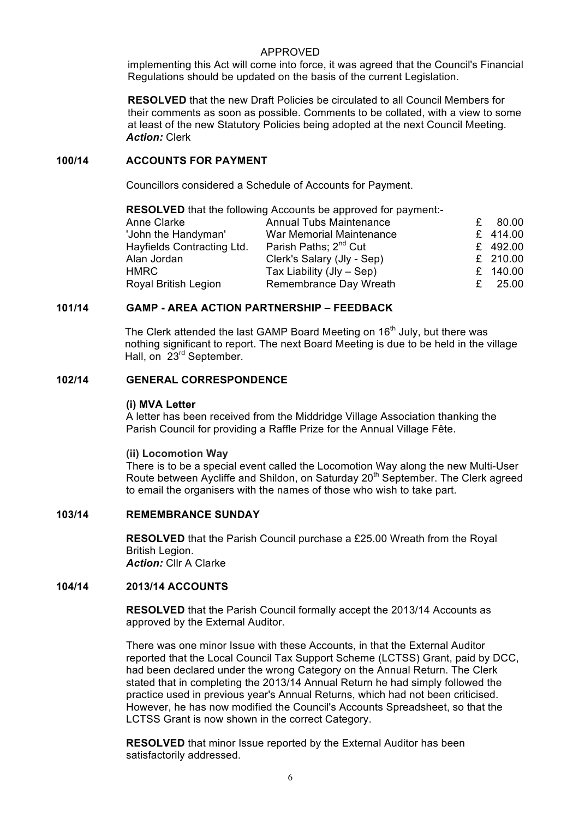implementing this Act will come into force, it was agreed that the Council's Financial Regulations should be updated on the basis of the current Legislation.

**RESOLVED** that the new Draft Policies be circulated to all Council Members for their comments as soon as possible. Comments to be collated, with a view to some at least of the new Statutory Policies being adopted at the next Council Meeting. *Action:* Clerk

#### **100/14 ACCOUNTS FOR PAYMENT**

Councillors considered a Schedule of Accounts for Payment.

| <b>RESOLVED</b> that the following Accounts be approved for payment:- |                                   |   |          |  |  |
|-----------------------------------------------------------------------|-----------------------------------|---|----------|--|--|
| Anne Clarke                                                           | <b>Annual Tubs Maintenance</b>    | £ | 80.00    |  |  |
| 'John the Handyman'                                                   | War Memorial Maintenance          |   | £ 414.00 |  |  |
| Hayfields Contracting Ltd.                                            | Parish Paths; 2 <sup>nd</sup> Cut |   | £ 492.00 |  |  |
| Alan Jordan                                                           | Clerk's Salary (Jly - Sep)        |   | £ 210.00 |  |  |
| <b>HMRC</b>                                                           | Tax Liability (Jly - Sep)         |   | £ 140.00 |  |  |
| Royal British Legion                                                  | Remembrance Day Wreath            | £ | 25.00    |  |  |

# **101/14 GAMP - AREA ACTION PARTNERSHIP – FEEDBACK**

The Clerk attended the last GAMP Board Meeting on 16<sup>th</sup> July, but there was nothing significant to report. The next Board Meeting is due to be held in the village Hall, on 23<sup>rd</sup> September.

#### **102/14 GENERAL CORRESPONDENCE**

#### **(i) MVA Letter**

A letter has been received from the Middridge Village Association thanking the Parish Council for providing a Raffle Prize for the Annual Village Fête.

### **(ii) Locomotion Way**

There is to be a special event called the Locomotion Way along the new Multi-User Route between Aycliffe and Shildon, on Saturday 20<sup>th</sup> September. The Clerk agreed to email the organisers with the names of those who wish to take part.

### **103/14 REMEMBRANCE SUNDAY**

**RESOLVED** that the Parish Council purchase a £25.00 Wreath from the Royal British Legion. *Action:* Cllr A Clarke

#### **104/14 2013/14 ACCOUNTS**

**RESOLVED** that the Parish Council formally accept the 2013/14 Accounts as approved by the External Auditor.

There was one minor Issue with these Accounts, in that the External Auditor reported that the Local Council Tax Support Scheme (LCTSS) Grant, paid by DCC, had been declared under the wrong Category on the Annual Return. The Clerk stated that in completing the 2013/14 Annual Return he had simply followed the practice used in previous year's Annual Returns, which had not been criticised. However, he has now modified the Council's Accounts Spreadsheet, so that the LCTSS Grant is now shown in the correct Category.

**RESOLVED** that minor Issue reported by the External Auditor has been satisfactorily addressed.